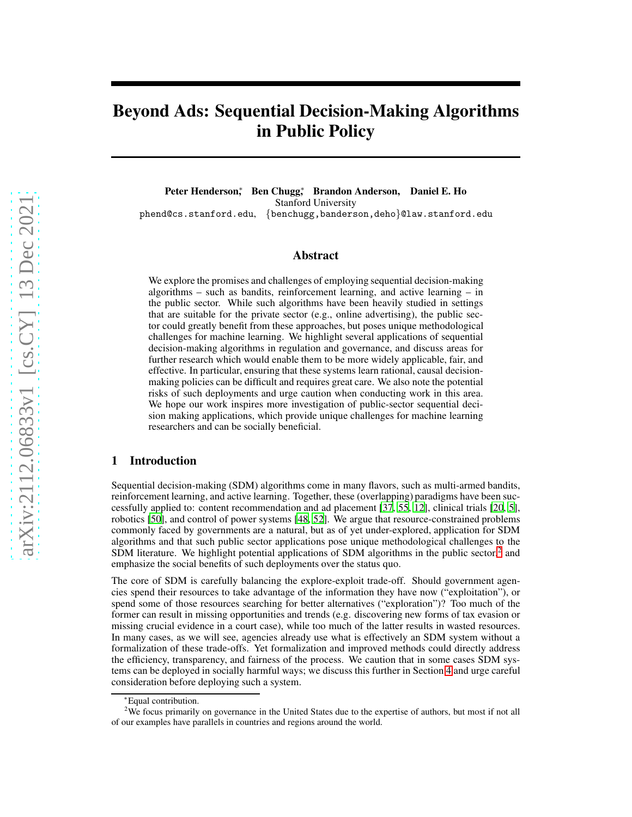# Beyond Ads: Sequential Decision-Making Algorithms in Public Policy

Peter Henderson, Ben Chugg, Brandon Anderson, Daniel E. Ho Stanford University phend@cs.stanford.edu, {benchugg,banderson,deho}@law.stanford.edu

#### Abstract

We explore the promises and challenges of employing sequential decision-making algorithms – such as bandits, reinforcement learning, and active learning – in the public sector. While such algorithms have been heavily studied in settings that are suitable for the private sector (e.g., online advertising), the public sector could greatly benefit from these approaches, but poses unique methodological challenges for machine learning. We highlight several applications of sequential decision-making algorithms in regulation and governance, and discuss areas for further research which would enable them to be more widely applicable, fair, and effective. In particular, ensuring that these systems learn rational, causal decisionmaking policies can be difficult and requires great care. We also note the potential risks of such deployments and urge caution when conducting work in this area. We hope our work inspires more investigation of public-sector sequential decision making applications, which provide unique challenges for machine learning researchers and can be socially beneficial.

# 1 Introduction

Sequential decision-making (SDM) algorithms come in many flavors, such as multi-armed bandits, reinforcement learning, and active learning. Together, these (overlapping) paradigms have been successfully applied to: content recommendation and ad placement [\[37,](#page-8-0) [55](#page-9-0), [12](#page-6-0)], clinical trials [\[20,](#page-7-0) [5](#page-6-1)], robotics [\[50](#page-8-1)], and control of power systems [\[48,](#page-8-2) [52\]](#page-8-3). We argue that resource-constrained problems commonly faced by governments are a natural, but as of yet under-explored, application for SDM algorithms and that such public sector applications pose unique methodological challenges to the SDM literature. We highlight potential applications of SDM algorithms in the public sector,<sup>[2](#page-0-0)</sup> and emphasize the social benefits of such deployments over the status quo.

The core of SDM is carefully balancing the explore-exploit trade-off. Should government agencies spend their resources to take advantage of the information they have now ("exploitation"), or spend some of those resources searching for better alternatives ("exploration")? Too much of the former can result in missing opportunities and trends (e.g. discovering new forms of tax evasion or missing crucial evidence in a court case), while too much of the latter results in wasted resources. In many cases, as we will see, agencies already use what is effectively an SDM system without a formalization of these trade-offs. Yet formalization and improved methods could directly address the efficiency, transparency, and fairness of the process. We caution that in some cases SDM systems can be deployed in socially harmful ways; we discuss this further in Section [4](#page-5-0) and urge careful consideration before deploying such a system.

<sup>∗</sup>Equal contribution.

<span id="page-0-0"></span><sup>&</sup>lt;sup>2</sup>We focus primarily on governance in the United States due to the expertise of authors, but most if not all of our examples have parallels in countries and regions around the world.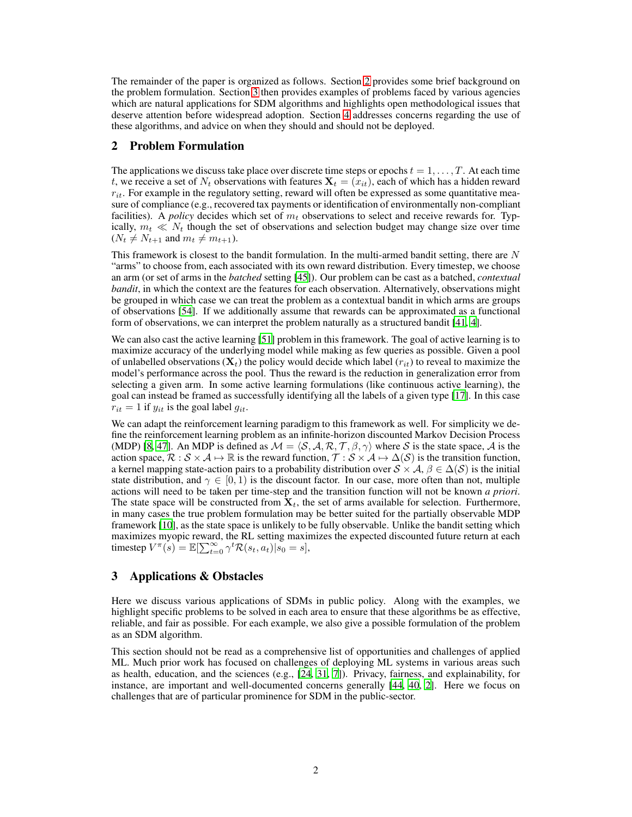The remainder of the paper is organized as follows. Section [2](#page-1-0) provides some brief background on the problem formulation. Section [3](#page-1-1) then provides examples of problems faced by various agencies which are natural applications for SDM algorithms and highlights open methodological issues that deserve attention before widespread adoption. Section [4](#page-5-0) addresses concerns regarding the use of these algorithms, and advice on when they should and should not be deployed.

# <span id="page-1-0"></span>2 Problem Formulation

The applications we discuss take place over discrete time steps or epochs  $t = 1, \ldots, T$ . At each time t, we receive a set of  $N_t$  observations with features  $\mathbf{X}_t = (x_{it})$ , each of which has a hidden reward  $r_{it}$ . For example in the regulatory setting, reward will often be expressed as some quantitative measure of compliance (e.g., recovered tax payments or identification of environmentally non-compliant facilities). A *policy* decides which set of  $m_t$  observations to select and receive rewards for. Typically,  $m_t \ll N_t$  though the set of observations and selection budget may change size over time  $(N_t \neq N_{t+1}$  and  $m_t \neq m_{t+1}$ ).

This framework is closest to the bandit formulation. In the multi-armed bandit setting, there are  $N$ "arms" to choose from, each associated with its own reward distribution. Every timestep, we choose an arm (or set of arms in the *batched* setting [\[45](#page-8-4)]). Our problem can be cast as a batched, *contextual bandit*, in which the context are the features for each observation. Alternatively, observations might be grouped in which case we can treat the problem as a contextual bandit in which arms are groups of observations [\[54\]](#page-9-1). If we additionally assume that rewards can be approximated as a functional form of observations, we can interpret the problem naturally as a structured bandit [\[41,](#page-8-5) [4](#page-6-2)].

We can also cast the active learning [\[51](#page-8-6)] problem in this framework. The goal of active learning is to maximize accuracy of the underlying model while making as few queries as possible. Given a pool of unlabelled observations  $(X_t)$  the policy would decide which label  $(r_{it})$  to reveal to maximize the model's performance across the pool. Thus the reward is the reduction in generalization error from selecting a given arm. In some active learning formulations (like continuous active learning), the goal can instead be framed as successfully identifying all the labels of a given type [\[17\]](#page-7-1). In this case  $r_{it} = 1$  if  $y_{it}$  is the goal label  $g_{it}$ .

We can adapt the reinforcement learning paradigm to this framework as well. For simplicity we define the reinforcement learning problem as an infinite-horizon discounted Markov Decision Process (MDP) [\[8](#page-6-3), [47](#page-8-7)]. An MDP is defined as  $M = \langle S, A, R, T, \beta, \gamma \rangle$  where S is the state space, A is the action space,  $\mathcal{R}: \mathcal{S} \times \mathcal{A} \mapsto \mathbb{R}$  is the reward function,  $\mathcal{T}: \mathcal{S} \times \mathcal{A} \mapsto \Delta(\mathcal{S})$  is the transition function, a kernel mapping state-action pairs to a probability distribution over  $S \times A$ ,  $\beta \in \Delta(S)$  is the initial state distribution, and  $\gamma \in [0, 1)$  is the discount factor. In our case, more often than not, multiple actions will need to be taken per time-step and the transition function will not be known *a priori*. The state space will be constructed from  $X_t$ , the set of arms available for selection. Furthermore, in many cases the true problem formulation may be better suited for the partially observable MDP framework [\[10\]](#page-6-4), as the state space is unlikely to be fully observable. Unlike the bandit setting which maximizes myopic reward, the RL setting maximizes the expected discounted future return at each timestep  $V^{\pi}(s) = \mathbb{E}[\sum_{t=0}^{\infty} \gamma^t \mathcal{R}(s_t, a_t) | s_0 = s],$ 

# <span id="page-1-1"></span>3 Applications & Obstacles

Here we discuss various applications of SDMs in public policy. Along with the examples, we highlight specific problems to be solved in each area to ensure that these algorithms be as effective, reliable, and fair as possible. For each example, we also give a possible formulation of the problem as an SDM algorithm.

This section should not be read as a comprehensive list of opportunities and challenges of applied ML. Much prior work has focused on challenges of deploying ML systems in various areas such as health, education, and the sciences (e.g., [\[24,](#page-7-2) [31](#page-7-3), [7\]](#page-6-5)). Privacy, fairness, and explainability, for instance, are important and well-documented concerns generally [\[44](#page-8-8), [40](#page-8-9), [2](#page-6-6)]. Here we focus on challenges that are of particular prominence for SDM in the public-sector.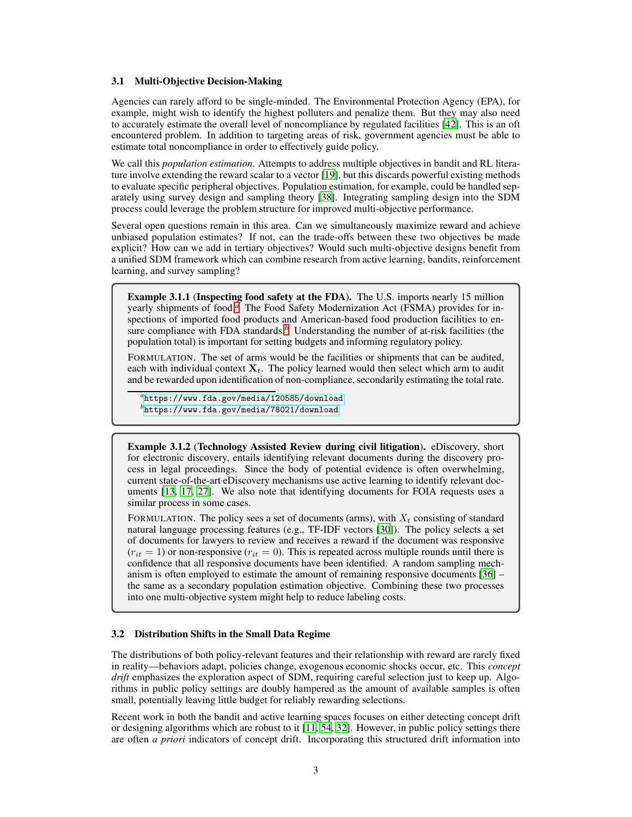#### 3.1 Multi-Objective Decision-Making

Agencies can rarely afford to be single-minded. The Environmental Protection Agency (EPA), for example, might wish to identify the highest polluters and penalize them. But they may also need to accurately estimate the overall level of noncompliance by regulated facilities [\[42\]](#page-8-10). This is an oft encountered problem. In addition to targeting areas of risk, government agencies must be able to estimate total noncompliance in order to effectively guide policy.

We call this *population estimation*. Attempts to address multiple objectives in bandit and RL literature involve extending the reward scalar to a vector [\[19\]](#page-7-4), but this discards powerful existing methods to evaluate specific peripheral objectives. Population estimation, for example, could be handled separately using survey design and sampling theory [\[38](#page-8-11)]. Integrating sampling design into the SDM process could leverage the problem structure for improved multi-objective performance.

Several open questions remain in this area. Can we simultaneously maximize reward and achieve unbiased population estimates? If not, can the trade-offs between these two objectives be made explicit? How can we add in tertiary objectives? Would such multi-objective designs benefit from a unified SDM framework which can combine research from active learning, bandits, reinforcement learning, and survey sampling?

Example 3.1.1 (Inspecting food safety at the FDA). The U.S. imports nearly 15 million yearly shipments of food.*[a](#page-2-0)* The Food Safety Modernization Act (FSMA) provides for inspections of imported food products and American-based food production facilities to ensure compliance with FDA standards.<sup>*[b](#page-2-1)*</sup> Understanding the number of at-risk facilities (the population total) is important for setting budgets and informing regulatory policy.

FORMULATION. The set of arms would be the facilities or shipments that can be audited, each with individual context  $X_t$ . The policy learned would then select which arm to audit and be rewarded upon identification of non-compliance, secondarily estimating the total rate.

<span id="page-2-0"></span>*a* <https://www.fda.gov/media/120585/download> *b* <https://www.fda.gov/media/78021/download>

<span id="page-2-1"></span>Example 3.1.2 (Technology Assisted Review during civil litigation). eDiscovery, short for electronic discovery, entails identifying relevant documents during the discovery process in legal proceedings. Since the body of potential evidence is often overwhelming, current state-of-the-art eDiscovery mechanisms use active learning to identify relevant documents [\[13,](#page-6-7) [17,](#page-7-1) [27\]](#page-7-5). We also note that identifying documents for FOIA requests uses a similar process in some cases.

FORMULATION. The policy sees a set of documents (arms), with  $X_t$  consisting of standard natural language processing features (e.g., TF-IDF vectors [\[30\]](#page-7-6)). The policy selects a set of documents for lawyers to review and receives a reward if the document was responsive  $(r_{it} = 1)$  or non-responsive  $(r_{it} = 0)$ . This is repeated across multiple rounds until there is confidence that all responsive documents have been identified. A random sampling mechanism is often employed to estimate the amount of remaining responsive documents [\[36](#page-8-12)] – the same as a secondary population estimation objective. Combining these two processes into one multi-objective system might help to reduce labeling costs.

#### 3.2 Distribution Shifts in the Small Data Regime

The distributions of both policy-relevant features and their relationship with reward are rarely fixed in reality—behaviors adapt, policies change, exogenous economic shocks occur, etc. This *concept drift* emphasizes the exploration aspect of SDM, requiring careful selection just to keep up. Algorithms in public policy settings are doubly hampered as the amount of available samples is often small, potentially leaving little budget for reliably rewarding selections.

Recent work in both the bandit and active learning spaces focuses on either detecting concept drift or designing algorithms which are robust to it [\[11](#page-6-8), [54](#page-9-1), [32](#page-7-7)]. However, in public policy settings there are often *a priori* indicators of concept drift. Incorporating this structured drift information into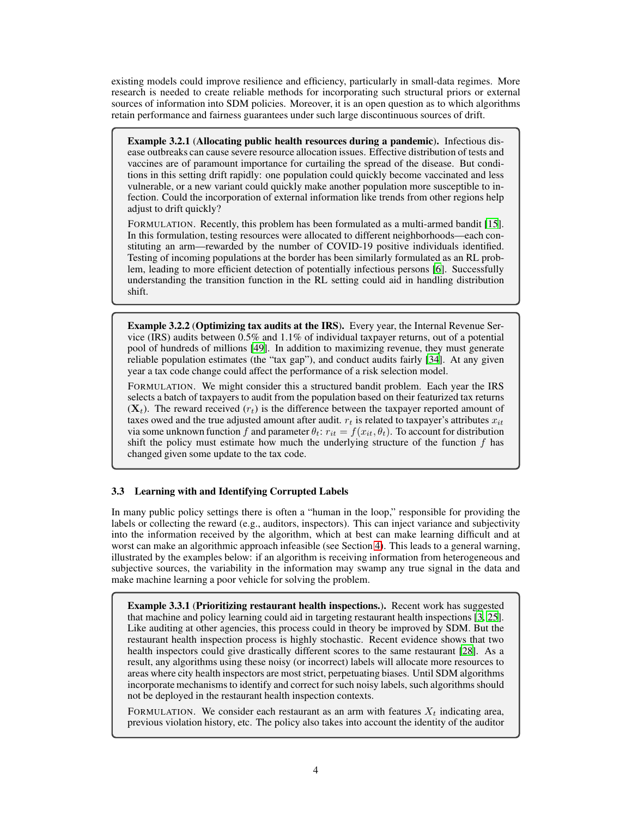existing models could improve resilience and efficiency, particularly in small-data regimes. More research is needed to create reliable methods for incorporating such structural priors or external sources of information into SDM policies. Moreover, it is an open question as to which algorithms retain performance and fairness guarantees under such large discontinuous sources of drift.

Example 3.2.1 (Allocating public health resources during a pandemic). Infectious disease outbreaks can cause severe resource allocation issues. Effective distribution of tests and vaccines are of paramount importance for curtailing the spread of the disease. But conditions in this setting drift rapidly: one population could quickly become vaccinated and less vulnerable, or a new variant could quickly make another population more susceptible to infection. Could the incorporation of external information like trends from other regions help adjust to drift quickly?

FORMULATION. Recently, this problem has been formulated as a multi-armed bandit [\[15\]](#page-6-9). In this formulation, testing resources were allocated to different neighborhoods—each constituting an arm—rewarded by the number of COVID-19 positive individuals identified. Testing of incoming populations at the border has been similarly formulated as an RL problem, leading to more efficient detection of potentially infectious persons [\[6](#page-6-10)]. Successfully understanding the transition function in the RL setting could aid in handling distribution shift.

Example 3.2.2 (Optimizing tax audits at the IRS). Every year, the Internal Revenue Service (IRS) audits between 0.5% and 1.1% of individual taxpayer returns, out of a potential pool of hundreds of millions [\[49\]](#page-8-13). In addition to maximizing revenue, they must generate reliable population estimates (the "tax gap"), and conduct audits fairly [\[34\]](#page-7-8). At any given year a tax code change could affect the performance of a risk selection model.

FORMULATION. We might consider this a structured bandit problem. Each year the IRS selects a batch of taxpayers to audit from the population based on their featurized tax returns  $(X_t)$ . The reward received  $(r_t)$  is the difference between the taxpayer reported amount of taxes owed and the true adjusted amount after audit.  $r_t$  is related to taxpayer's attributes  $x_{it}$ via some unknown function f and parameter  $\theta_t$ :  $r_{it} = f(x_{it}, \theta_t)$ . To account for distribution shift the policy must estimate how much the underlying structure of the function  $f$  has changed given some update to the tax code.

#### 3.3 Learning with and Identifying Corrupted Labels

In many public policy settings there is often a "human in the loop," responsible for providing the labels or collecting the reward (e.g., auditors, inspectors). This can inject variance and subjectivity into the information received by the algorithm, which at best can make learning difficult and at worst can make an algorithmic approach infeasible (see Section [4\)](#page-5-0). This leads to a general warning, illustrated by the examples below: if an algorithm is receiving information from heterogeneous and subjective sources, the variability in the information may swamp any true signal in the data and make machine learning a poor vehicle for solving the problem.

Example 3.3.1 (Prioritizing restaurant health inspections.). Recent work has suggested that machine and policy learning could aid in targeting restaurant health inspections [\[3,](#page-6-11) [25\]](#page-7-9). Like auditing at other agencies, this process could in theory be improved by SDM. But the restaurant health inspection process is highly stochastic. Recent evidence shows that two health inspectors could give drastically different scores to the same restaurant [\[28\]](#page-7-10). As a result, any algorithms using these noisy (or incorrect) labels will allocate more resources to areas where city health inspectors are most strict, perpetuating biases. Until SDM algorithms incorporate mechanisms to identify and correct for such noisy labels, such algorithms should not be deployed in the restaurant health inspection contexts.

FORMULATION. We consider each restaurant as an arm with features  $X_t$  indicating area, previous violation history, etc. The policy also takes into account the identity of the auditor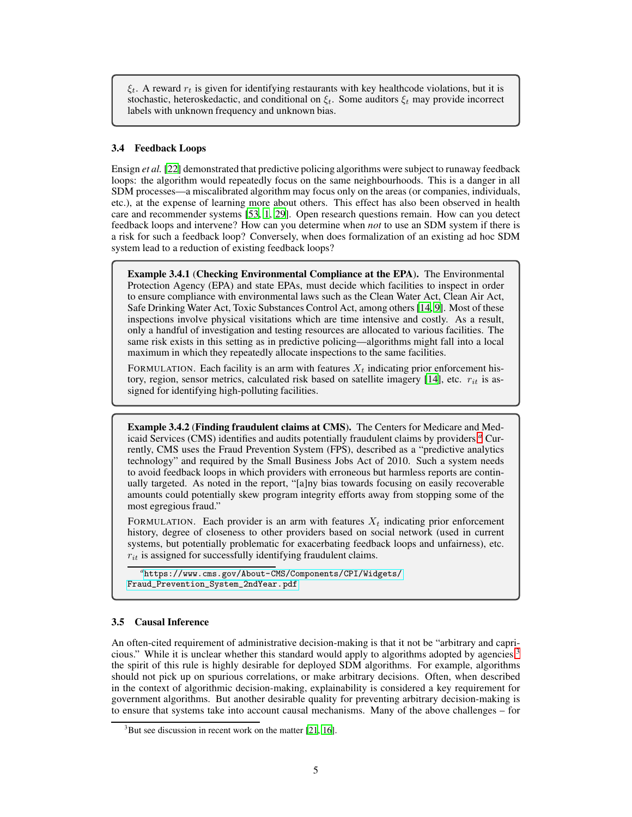$\xi_t$ . A reward  $r_t$  is given for identifying restaurants with key healthcode violations, but it is stochastic, heteroskedactic, and conditional on  $\xi_t$ . Some auditors  $\xi_t$  may provide incorrect labels with unknown frequency and unknown bias.

#### 3.4 Feedback Loops

Ensign *et al.* [\[22](#page-7-11)] demonstrated that predictive policing algorithms were subject to runaway feedback loops: the algorithm would repeatedly focus on the same neighbourhoods. This is a danger in all SDM processes—a miscalibrated algorithm may focus only on the areas (or companies, individuals, etc.), at the expense of learning more about others. This effect has also been observed in health care and recommender systems [\[53,](#page-8-14) [1](#page-6-12), [29\]](#page-7-12). Open research questions remain. How can you detect feedback loops and intervene? How can you determine when *not* to use an SDM system if there is a risk for such a feedback loop? Conversely, when does formalization of an existing ad hoc SDM system lead to a reduction of existing feedback loops?

Example 3.4.1 (Checking Environmental Compliance at the EPA). The Environmental Protection Agency (EPA) and state EPAs, must decide which facilities to inspect in order to ensure compliance with environmental laws such as the Clean Water Act, Clean Air Act, Safe Drinking Water Act, Toxic Substances Control Act, among others [\[14,](#page-6-13) 9]. Most of these inspections involve physical visitations which are time intensive and costly. As a result, only a handful of investigation and testing resources are allocated to various facilities. The same risk exists in this setting as in predictive policing—algorithms might fall into a local maximum in which they repeatedly allocate inspections to the same facilities.

FORMULATION. Each facility is an arm with features  $X_t$  indicating prior enforcement history, region, sensor metrics, calculated risk based on satellite imagery  $[14]$ , etc.  $r_{it}$  is assigned for identifying high-polluting facilities.

Example 3.4.2 (Finding fraudulent claims at CMS). The Centers for Medicare and Medicaid Services (CMS) identifies and audits potentially fraudulent claims by providers.*[a](#page-4-0)* Currently, CMS uses the Fraud Prevention System (FPS), described as a "predictive analytics technology" and required by the Small Business Jobs Act of 2010. Such a system needs to avoid feedback loops in which providers with erroneous but harmless reports are continually targeted. As noted in the report, "[a]ny bias towards focusing on easily recoverable amounts could potentially skew program integrity efforts away from stopping some of the most egregious fraud."

FORMULATION. Each provider is an arm with features  $X_t$  indicating prior enforcement history, degree of closeness to other providers based on social network (used in current systems, but potentially problematic for exacerbating feedback loops and unfairness), etc.  $r_{it}$  is assigned for successfully identifying fraudulent claims.

<span id="page-4-0"></span>*a* [https://www.cms.gov/About-CMS/Components/CPI/Widgets/](https://www.cms.gov/About-CMS/Components/CPI/Widgets/Fraud_Prevention_System_2ndYear.pdf) [Fraud\\_Prevention\\_System\\_2ndYear.pdf](https://www.cms.gov/About-CMS/Components/CPI/Widgets/Fraud_Prevention_System_2ndYear.pdf)

#### 3.5 Causal Inference

An often-cited requirement of administrative decision-making is that it not be "arbitrary and capri-cious." While it is unclear whether this standard would apply to algorithms adopted by agencies,<sup>[3](#page-4-1)</sup> the spirit of this rule is highly desirable for deployed SDM algorithms. For example, algorithms should not pick up on spurious correlations, or make arbitrary decisions. Often, when described in the context of algorithmic decision-making, explainability is considered a key requirement for government algorithms. But another desirable quality for preventing arbitrary decision-making is to ensure that systems take into account causal mechanisms. Many of the above challenges – for

<span id="page-4-1"></span> $3$ But see discussion in recent work on the matter [\[21](#page-7-13), [16](#page-6-14)].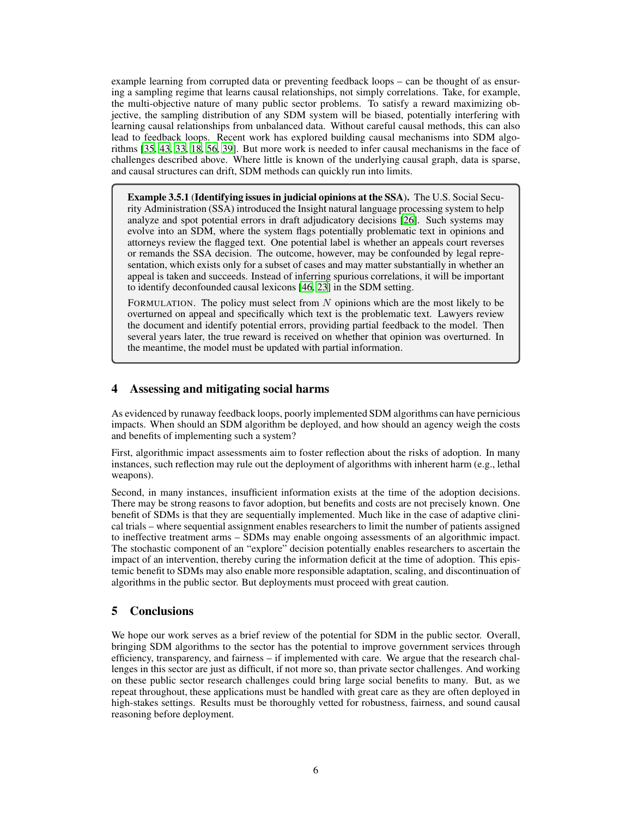example learning from corrupted data or preventing feedback loops – can be thought of as ensuring a sampling regime that learns causal relationships, not simply correlations. Take, for example, the multi-objective nature of many public sector problems. To satisfy a reward maximizing objective, the sampling distribution of any SDM system will be biased, potentially interfering with learning causal relationships from unbalanced data. Without careful causal methods, this can also lead to feedback loops. Recent work has explored building causal mechanisms into SDM algorithms [\[35,](#page-8-15) [43,](#page-8-16) [33,](#page-7-14) [18](#page-7-15), [56](#page-9-2), [39\]](#page-8-17). But more work is needed to infer causal mechanisms in the face of challenges described above. Where little is known of the underlying causal graph, data is sparse, and causal structures can drift, SDM methods can quickly run into limits.

Example 3.5.1 (Identifying issues in judicial opinions at the SSA). The U.S. Social Security Administration (SSA) introduced the Insight natural language processing system to help analyze and spot potential errors in draft adjudicatory decisions [\[26](#page-7-16)]. Such systems may evolve into an SDM, where the system flags potentially problematic text in opinions and attorneys review the flagged text. One potential label is whether an appeals court reverses or remands the SSA decision. The outcome, however, may be confounded by legal representation, which exists only for a subset of cases and may matter substantially in whether an appeal is taken and succeeds. Instead of inferring spurious correlations, it will be important to identify deconfounded causal lexicons [\[46,](#page-8-18) [23\]](#page-7-17) in the SDM setting.

FORMULATION. The policy must select from  $N$  opinions which are the most likely to be overturned on appeal and specifically which text is the problematic text. Lawyers review the document and identify potential errors, providing partial feedback to the model. Then several years later, the true reward is received on whether that opinion was overturned. In the meantime, the model must be updated with partial information.

# <span id="page-5-0"></span>4 Assessing and mitigating social harms

As evidenced by runaway feedback loops, poorly implemented SDM algorithms can have pernicious impacts. When should an SDM algorithm be deployed, and how should an agency weigh the costs and benefits of implementing such a system?

First, algorithmic impact assessments aim to foster reflection about the risks of adoption. In many instances, such reflection may rule out the deployment of algorithms with inherent harm (e.g., lethal weapons).

Second, in many instances, insufficient information exists at the time of the adoption decisions. There may be strong reasons to favor adoption, but benefits and costs are not precisely known. One benefit of SDMs is that they are sequentially implemented. Much like in the case of adaptive clinical trials – where sequential assignment enables researchers to limit the number of patients assigned to ineffective treatment arms – SDMs may enable ongoing assessments of an algorithmic impact. The stochastic component of an "explore" decision potentially enables researchers to ascertain the impact of an intervention, thereby curing the information deficit at the time of adoption. This epistemic benefit to SDMs may also enable more responsible adaptation, scaling, and discontinuation of algorithms in the public sector. But deployments must proceed with great caution.

# 5 Conclusions

We hope our work serves as a brief review of the potential for SDM in the public sector. Overall, bringing SDM algorithms to the sector has the potential to improve government services through efficiency, transparency, and fairness – if implemented with care. We argue that the research challenges in this sector are just as difficult, if not more so, than private sector challenges. And working on these public sector research challenges could bring large social benefits to many. But, as we repeat throughout, these applications must be handled with great care as they are often deployed in high-stakes settings. Results must be thoroughly vetted for robustness, fairness, and sound causal reasoning before deployment.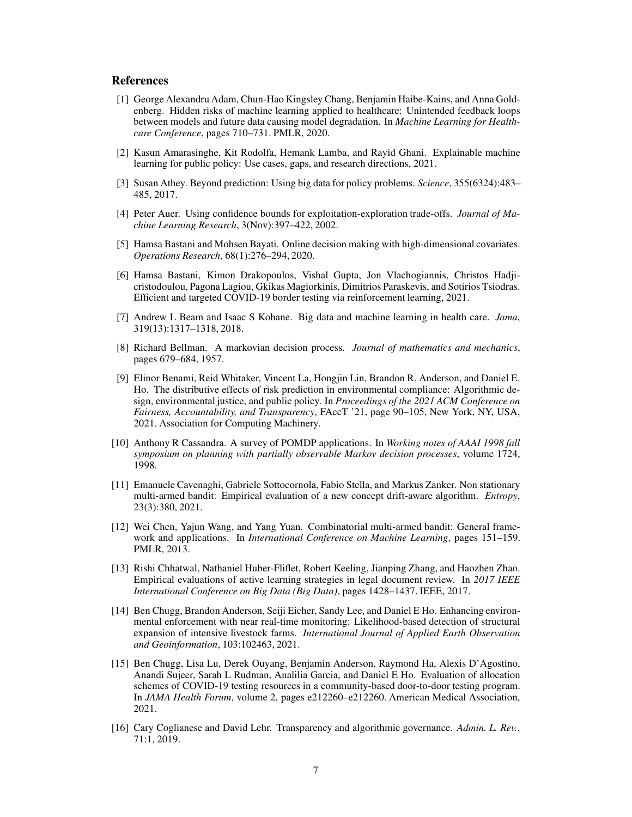### **References**

- <span id="page-6-12"></span>[1] George Alexandru Adam, Chun-Hao Kingsley Chang, Benjamin Haibe-Kains, and Anna Goldenberg. Hidden risks of machine learning applied to healthcare: Unintended feedback loops between models and future data causing model degradation. In *Machine Learning for Healthcare Conference*, pages 710–731. PMLR, 2020.
- <span id="page-6-6"></span>[2] Kasun Amarasinghe, Kit Rodolfa, Hemank Lamba, and Rayid Ghani. Explainable machine learning for public policy: Use cases, gaps, and research directions, 2021.
- <span id="page-6-11"></span>[3] Susan Athey. Beyond prediction: Using big data for policy problems. *Science*, 355(6324):483– 485, 2017.
- <span id="page-6-2"></span>[4] Peter Auer. Using confidence bounds for exploitation-exploration trade-offs. *Journal of Machine Learning Research*, 3(Nov):397–422, 2002.
- <span id="page-6-1"></span>[5] Hamsa Bastani and Mohsen Bayati. Online decision making with high-dimensional covariates. *Operations Research*, 68(1):276–294, 2020.
- <span id="page-6-10"></span>[6] Hamsa Bastani, Kimon Drakopoulos, Vishal Gupta, Jon Vlachogiannis, Christos Hadjicristodoulou, Pagona Lagiou, Gkikas Magiorkinis, Dimitrios Paraskevis, and Sotirios Tsiodras. Efficient and targeted COVID-19 border testing via reinforcement learning, 2021.
- <span id="page-6-5"></span>[7] Andrew L Beam and Isaac S Kohane. Big data and machine learning in health care. *Jama*, 319(13):1317–1318, 2018.
- <span id="page-6-3"></span>[8] Richard Bellman. A markovian decision process. *Journal of mathematics and mechanics*, pages 679–684, 1957.
- [9] Elinor Benami, Reid Whitaker, Vincent La, Hongjin Lin, Brandon R. Anderson, and Daniel E. Ho. The distributive effects of risk prediction in environmental compliance: Algorithmic design, environmental justice, and public policy. In *Proceedings of the 2021 ACM Conference on Fairness, Accountability, and Transparency*, FAccT '21, page 90–105, New York, NY, USA, 2021. Association for Computing Machinery.
- <span id="page-6-4"></span>[10] Anthony R Cassandra. A survey of POMDP applications. In *Working notes of AAAI 1998 fall symposium on planning with partially observable Markov decision processes*, volume 1724, 1998.
- <span id="page-6-8"></span>[11] Emanuele Cavenaghi, Gabriele Sottocornola, Fabio Stella, and Markus Zanker. Non stationary multi-armed bandit: Empirical evaluation of a new concept drift-aware algorithm. *Entropy*, 23(3):380, 2021.
- <span id="page-6-0"></span>[12] Wei Chen, Yajun Wang, and Yang Yuan. Combinatorial multi-armed bandit: General framework and applications. In *International Conference on Machine Learning*, pages 151–159. PMLR, 2013.
- <span id="page-6-7"></span>[13] Rishi Chhatwal, Nathaniel Huber-Fliflet, Robert Keeling, Jianping Zhang, and Haozhen Zhao. Empirical evaluations of active learning strategies in legal document review. In *2017 IEEE International Conference on Big Data (Big Data)*, pages 1428–1437. IEEE, 2017.
- <span id="page-6-13"></span>[14] Ben Chugg, Brandon Anderson, Seiji Eicher, Sandy Lee, and Daniel E Ho. Enhancing environmental enforcement with near real-time monitoring: Likelihood-based detection of structural expansion of intensive livestock farms. *International Journal of Applied Earth Observation and Geoinformation*, 103:102463, 2021.
- <span id="page-6-9"></span>[15] Ben Chugg, Lisa Lu, Derek Ouyang, Benjamin Anderson, Raymond Ha, Alexis D'Agostino, Anandi Sujeer, Sarah L Rudman, Analilia Garcia, and Daniel E Ho. Evaluation of allocation schemes of COVID-19 testing resources in a community-based door-to-door testing program. In *JAMA Health Forum*, volume 2, pages e212260–e212260. American Medical Association, 2021.
- <span id="page-6-14"></span>[16] Cary Coglianese and David Lehr. Transparency and algorithmic governance. *Admin. L. Rev.*, 71:1, 2019.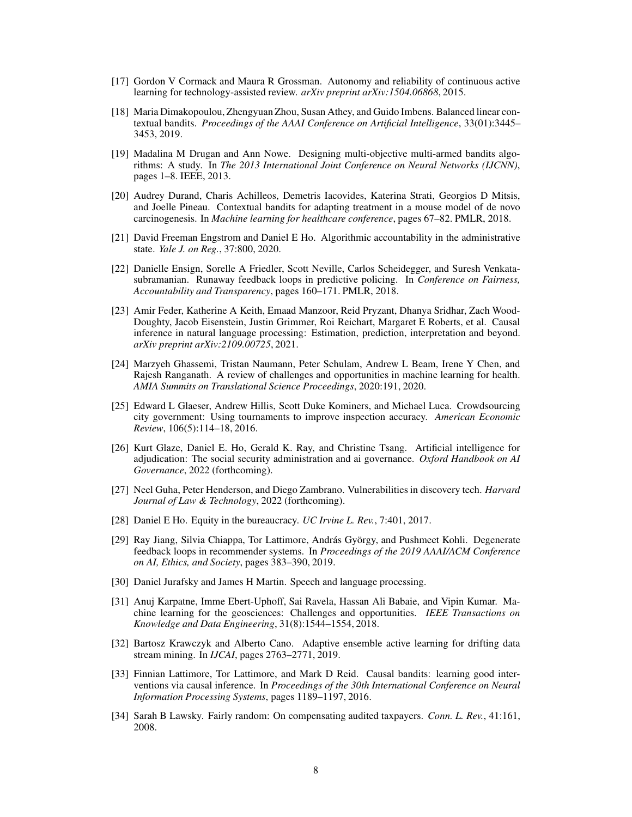- <span id="page-7-1"></span>[17] Gordon V Cormack and Maura R Grossman. Autonomy and reliability of continuous active learning for technology-assisted review. *arXiv preprint arXiv:1504.06868*, 2015.
- <span id="page-7-15"></span>[18] Maria Dimakopoulou, Zhengyuan Zhou, Susan Athey, and Guido Imbens. Balanced linear contextual bandits. *Proceedings of the AAAI Conference on Artificial Intelligence*, 33(01):3445– 3453, 2019.
- <span id="page-7-4"></span>[19] Madalina M Drugan and Ann Nowe. Designing multi-objective multi-armed bandits algorithms: A study. In *The 2013 International Joint Conference on Neural Networks (IJCNN)*, pages 1–8. IEEE, 2013.
- <span id="page-7-0"></span>[20] Audrey Durand, Charis Achilleos, Demetris Iacovides, Katerina Strati, Georgios D Mitsis, and Joelle Pineau. Contextual bandits for adapting treatment in a mouse model of de novo carcinogenesis. In *Machine learning for healthcare conference*, pages 67–82. PMLR, 2018.
- <span id="page-7-13"></span>[21] David Freeman Engstrom and Daniel E Ho. Algorithmic accountability in the administrative state. *Yale J. on Reg.*, 37:800, 2020.
- <span id="page-7-11"></span>[22] Danielle Ensign, Sorelle A Friedler, Scott Neville, Carlos Scheidegger, and Suresh Venkatasubramanian. Runaway feedback loops in predictive policing. In *Conference on Fairness, Accountability and Transparency*, pages 160–171. PMLR, 2018.
- <span id="page-7-17"></span>[23] Amir Feder, Katherine A Keith, Emaad Manzoor, Reid Pryzant, Dhanya Sridhar, Zach Wood-Doughty, Jacob Eisenstein, Justin Grimmer, Roi Reichart, Margaret E Roberts, et al. Causal inference in natural language processing: Estimation, prediction, interpretation and beyond. *arXiv preprint arXiv:2109.00725*, 2021.
- <span id="page-7-2"></span>[24] Marzyeh Ghassemi, Tristan Naumann, Peter Schulam, Andrew L Beam, Irene Y Chen, and Rajesh Ranganath. A review of challenges and opportunities in machine learning for health. *AMIA Summits on Translational Science Proceedings*, 2020:191, 2020.
- <span id="page-7-9"></span>[25] Edward L Glaeser, Andrew Hillis, Scott Duke Kominers, and Michael Luca. Crowdsourcing city government: Using tournaments to improve inspection accuracy. *American Economic Review*, 106(5):114–18, 2016.
- <span id="page-7-16"></span>[26] Kurt Glaze, Daniel E. Ho, Gerald K. Ray, and Christine Tsang. Artificial intelligence for adjudication: The social security administration and ai governance. *Oxford Handbook on AI Governance*, 2022 (forthcoming).
- <span id="page-7-5"></span>[27] Neel Guha, Peter Henderson, and Diego Zambrano. Vulnerabilities in discovery tech. *Harvard Journal of Law & Technology*, 2022 (forthcoming).
- <span id="page-7-10"></span>[28] Daniel E Ho. Equity in the bureaucracy. *UC Irvine L. Rev.*, 7:401, 2017.
- <span id="page-7-12"></span>[29] Ray Jiang, Silvia Chiappa, Tor Lattimore, András György, and Pushmeet Kohli. Degenerate feedback loops in recommender systems. In *Proceedings of the 2019 AAAI/ACM Conference on AI, Ethics, and Society*, pages 383–390, 2019.
- <span id="page-7-6"></span>[30] Daniel Jurafsky and James H Martin. Speech and language processing.
- <span id="page-7-3"></span>[31] Anuj Karpatne, Imme Ebert-Uphoff, Sai Ravela, Hassan Ali Babaie, and Vipin Kumar. Machine learning for the geosciences: Challenges and opportunities. *IEEE Transactions on Knowledge and Data Engineering*, 31(8):1544–1554, 2018.
- <span id="page-7-7"></span>[32] Bartosz Krawczyk and Alberto Cano. Adaptive ensemble active learning for drifting data stream mining. In *IJCAI*, pages 2763–2771, 2019.
- <span id="page-7-14"></span>[33] Finnian Lattimore, Tor Lattimore, and Mark D Reid. Causal bandits: learning good interventions via causal inference. In *Proceedings of the 30th International Conference on Neural Information Processing Systems*, pages 1189–1197, 2016.
- <span id="page-7-8"></span>[34] Sarah B Lawsky. Fairly random: On compensating audited taxpayers. *Conn. L. Rev.*, 41:161, 2008.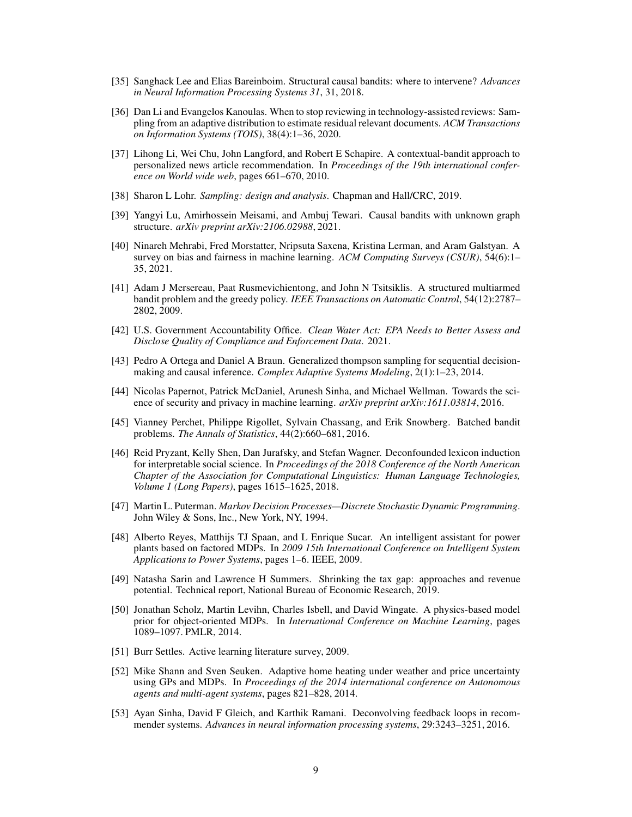- <span id="page-8-15"></span>[35] Sanghack Lee and Elias Bareinboim. Structural causal bandits: where to intervene? *Advances in Neural Information Processing Systems 31*, 31, 2018.
- <span id="page-8-12"></span>[36] Dan Li and Evangelos Kanoulas. When to stop reviewing in technology-assisted reviews: Sampling from an adaptive distribution to estimate residual relevant documents. *ACM Transactions on Information Systems (TOIS)*, 38(4):1–36, 2020.
- <span id="page-8-0"></span>[37] Lihong Li, Wei Chu, John Langford, and Robert E Schapire. A contextual-bandit approach to personalized news article recommendation. In *Proceedings of the 19th international conference on World wide web*, pages 661–670, 2010.
- <span id="page-8-11"></span>[38] Sharon L Lohr. *Sampling: design and analysis*. Chapman and Hall/CRC, 2019.
- <span id="page-8-17"></span>[39] Yangyi Lu, Amirhossein Meisami, and Ambuj Tewari. Causal bandits with unknown graph structure. *arXiv preprint arXiv:2106.02988*, 2021.
- <span id="page-8-9"></span>[40] Ninareh Mehrabi, Fred Morstatter, Nripsuta Saxena, Kristina Lerman, and Aram Galstyan. A survey on bias and fairness in machine learning. *ACM Computing Surveys (CSUR)*, 54(6):1– 35, 2021.
- <span id="page-8-5"></span>[41] Adam J Mersereau, Paat Rusmevichientong, and John N Tsitsiklis. A structured multiarmed bandit problem and the greedy policy. *IEEE Transactions on Automatic Control*, 54(12):2787– 2802, 2009.
- <span id="page-8-10"></span>[42] U.S. Government Accountability Office. *Clean Water Act: EPA Needs to Better Assess and Disclose Quality of Compliance and Enforcement Data*. 2021.
- <span id="page-8-16"></span>[43] Pedro A Ortega and Daniel A Braun. Generalized thompson sampling for sequential decisionmaking and causal inference. *Complex Adaptive Systems Modeling*, 2(1):1–23, 2014.
- <span id="page-8-8"></span>[44] Nicolas Papernot, Patrick McDaniel, Arunesh Sinha, and Michael Wellman. Towards the science of security and privacy in machine learning. *arXiv preprint arXiv:1611.03814*, 2016.
- <span id="page-8-4"></span>[45] Vianney Perchet, Philippe Rigollet, Sylvain Chassang, and Erik Snowberg. Batched bandit problems. *The Annals of Statistics*, 44(2):660–681, 2016.
- <span id="page-8-18"></span>[46] Reid Pryzant, Kelly Shen, Dan Jurafsky, and Stefan Wagner. Deconfounded lexicon induction for interpretable social science. In *Proceedings of the 2018 Conference of the North American Chapter of the Association for Computational Linguistics: Human Language Technologies, Volume 1 (Long Papers)*, pages 1615–1625, 2018.
- <span id="page-8-7"></span>[47] Martin L. Puterman. *Markov Decision Processes—Discrete Stochastic Dynamic Programming*. John Wiley & Sons, Inc., New York, NY, 1994.
- <span id="page-8-2"></span>[48] Alberto Reyes, Matthijs TJ Spaan, and L Enrique Sucar. An intelligent assistant for power plants based on factored MDPs. In *2009 15th International Conference on Intelligent System Applications to Power Systems*, pages 1–6. IEEE, 2009.
- <span id="page-8-13"></span>[49] Natasha Sarin and Lawrence H Summers. Shrinking the tax gap: approaches and revenue potential. Technical report, National Bureau of Economic Research, 2019.
- <span id="page-8-1"></span>[50] Jonathan Scholz, Martin Levihn, Charles Isbell, and David Wingate. A physics-based model prior for object-oriented MDPs. In *International Conference on Machine Learning*, pages 1089–1097. PMLR, 2014.
- <span id="page-8-6"></span>[51] Burr Settles. Active learning literature survey, 2009.
- <span id="page-8-3"></span>[52] Mike Shann and Sven Seuken. Adaptive home heating under weather and price uncertainty using GPs and MDPs. In *Proceedings of the 2014 international conference on Autonomous agents and multi-agent systems*, pages 821–828, 2014.
- <span id="page-8-14"></span>[53] Ayan Sinha, David F Gleich, and Karthik Ramani. Deconvolving feedback loops in recommender systems. *Advances in neural information processing systems*, 29:3243–3251, 2016.